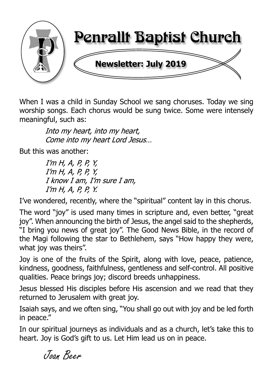

When I was a child in Sunday School we sang choruses. Today we sing worship songs. Each chorus would be sung twice. Some were intensely meaningful, such as:

> Into my heart, into my heart, Come into my heart Lord Jesus...

But this was another:

 $I'm H, A, P, P, Y,$  $I'm H, A, P, P, Y,$ I know I am, I'm sure I am,  $I'm H, A, P, P, Y.$ 

I've wondered, recently, where the "spiritual" content lay in this chorus.

The word "joy" is used many times in scripture and, even better, "great joy". When announcing the birth of Jesus, the angel said to the shepherds, "I bring you news of great joy". The Good News Bible, in the record of the Magi following the star to Bethlehem, says "How happy they were, what joy was theirs".

Joy is one of the fruits of the Spirit, along with love, peace, patience, kindness, goodness, faithfulness, gentleness and self-control. All positive qualities. Peace brings joy; discord breeds unhappiness.

Jesus blessed His disciples before His ascension and we read that they returned to Jerusalem with great joy.

Isaiah says, and we often sing, "You shall go out with joy and be led forth in peace."

In our spiritual journeys as individuals and as a church, let's take this to heart. Joy is God's gift to us. Let Him lead us on in peace.

Joan Beer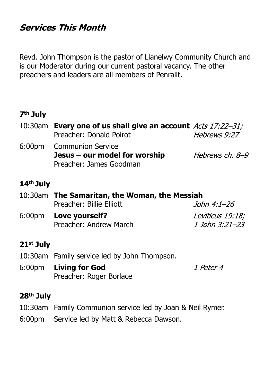# **Services This Month**

Revd. John Thompson is the pastor of Llanelwy Community Church and is our Moderator during our current pastoral vacancy. The other preachers and leaders are all members of Penrallt.

#### **7th July**

| 10:30am Every one of us shall give an account Acts 17:22-31; |                 |  |  |
|--------------------------------------------------------------|-----------------|--|--|
| Preacher: Donald Poirot                                      | Hebrews 9:27    |  |  |
| 6:00pm Communion Service                                     |                 |  |  |
| Jesus – our model for worship                                | Hebrews ch. 8-9 |  |  |
| Preacher: James Goodman                                      |                 |  |  |

# **14th July**

|  | 10:30am The Samaritan, the Woman, the Messiah |                  |  |
|--|-----------------------------------------------|------------------|--|
|  | Preacher: Billie Elliott                      | John 4:1–26      |  |
|  | 6:00pm Love yourself?                         | Leviticus 19:18; |  |
|  | Preacher: Andrew March                        | 1 John 3:21–23   |  |

### **21st July**

- 10:30am Family service led by John Thompson.
- 6:00pm **Living for God** 1 Peter 4 Preacher: Roger Borlace

### **28th July**

- 10:30am Family Communion service led by Joan & Neil Rymer.
- 6:00pm Service led by Matt & Rebecca Dawson.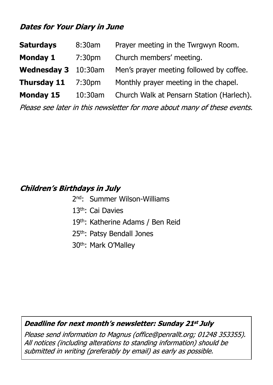# **Dates for Your Diary in June**

| <b>Saturdays</b>    | 8:30am             | Prayer meeting in the Twrgwyn Room.       |
|---------------------|--------------------|-------------------------------------------|
| <b>Monday 1</b>     | 7:30 <sub>pm</sub> | Church members' meeting.                  |
| Wednesday 3 10:30am |                    | Men's prayer meeting followed by coffee.  |
| <b>Thursday 11</b>  | 7:30 <sub>pm</sub> | Monthly prayer meeting in the chapel.     |
| <b>Monday 15</b>    | 10:30am            | Church Walk at Pensarn Station (Harlech). |

Please see later in this newsletter for more about many of these events.

# **Children's Birthdays in July**

- 2nd: Summer Wilson-Williams
- 13th: Cai Davies
- 19th: Katherine Adams / Ben Reid
- 25th: Patsy Bendall Jones
- 30th: Mark O'Malley

#### Deadline for next month's newsletter: Sunday 21st July

Please send information to Magnus (office@penrallt.org; 01248 353355). All notices (including alterations to standing information) should be submitted in writing (preferably by email) as early as possible.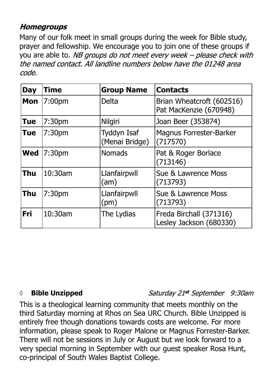# **Homegroups**

Many of our folk meet in small groups during the week for Bible study, prayer and fellowship. We encourage you to join one of these groups if you are able to. NB groups do not meet every week – please check with the named contact. All landline numbers below have the 01248 area code.

| <b>Day</b> | Time               | <b>Group Name</b>                    | <b>Contacts</b>                                     |
|------------|--------------------|--------------------------------------|-----------------------------------------------------|
| <b>Mon</b> | 7:00pm             | <b>Delta</b>                         | Brian Wheatcroft (602516)<br>Pat MacKenzie (670948) |
| <b>Tue</b> | 7:30 <sub>pm</sub> | Nilgiri                              | Joan Beer (353874)                                  |
| <b>Tue</b> | 7:30 <sub>pm</sub> | <b>Tyddyn Isaf</b><br>(Menai Bridge) | <b>Magnus Forrester-Barker</b><br>(717570)          |
| Wed        | 7:30pm             | <b>Nomads</b>                        | Pat & Roger Borlace<br>(713146)                     |
| <b>Thu</b> | 10:30am            | Llanfairpwll<br>(am)                 | Sue & Lawrence Moss<br>(713793)                     |
| <b>Thu</b> | 7:30 <sub>pm</sub> | Llanfairpwll<br>(pm)                 | Sue & Lawrence Moss<br>(713793)                     |
| <b>Fri</b> | 10:30am            | The Lydias                           | Freda Birchall (371316)<br>Lesley Jackson (680330)  |

### *◊* **Bible Unzipped**

Saturday 21st September 9:30am

This is a theological learning community that meets monthly on the third Saturday morning at Rhos on Sea URC Church. Bible Unzipped is entirely free though donations towards costs are welcome. For more information, please speak to Roger Malone or Magnus Forrester-Barker. There will not be sessions in July or August but we look forward to a very special morning in September with our guest speaker Rosa Hunt, co-principal of South Wales Baptist College.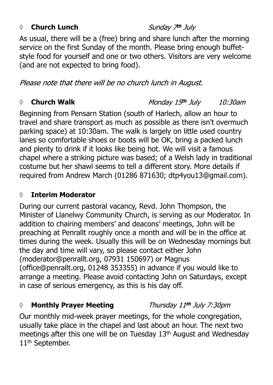#### *◊* **Church Lunch**

Sunday 7th July

As usual, there will be a (free) bring and share lunch after the morning service on the first Sunday of the month. Please bring enough buffetstyle food for yourself and one or two others. Visitors are very welcome (and are not expected to bring food).

Please note that there will be no church lunch in August.

#### *◊* **Church Walk**

Monday 15th July 10:30am

Thursday 11th July 7:30pm

Beginning from Pensarn Station (south of Harlech, allow an hour to travel and share transport as much as possible as there isn't overmuch parking space) at 10:30am. The walk is largely on little used country lanes so comfortable shoes or boots will be OK, bring a packed lunch and plenty to drink if it looks like being hot. We will visit a famous chapel where a striking picture was based; of a Welsh lady in traditional costume but her shawl seems to tell a different story. More details if required from Andrew March (01286 871630; dtp4you13@gmail.com).

#### **◊ Interim Moderator**

During our current pastoral vacancy, Revd. John Thompson, the Minister of Llanelwy Community Church, is serving as our Moderator. In addition to chairing members' and deacons' meetings, John will be preaching at Penrallt roughly once a month and will be in the office at times during the week. Usually this will be on Wednesday mornings but the day and time will vary, so please contact either John (moderator@penrallt.org, 07931 150697) or Magnus (office@penrallt.org, 01248 353355) in advance if you would like to arrange a meeting. Please avoid contacting John on Saturdays, except in case of serious emergency, as this is his day off.

### *◊* **Monthly Prayer Meeting**

Our monthly mid-week prayer meetings, for the whole congregation, usually take place in the chapel and last about an hour. The next two meetings after this one will be on Tuesday 13th August and Wednesday 11<sup>th</sup> September.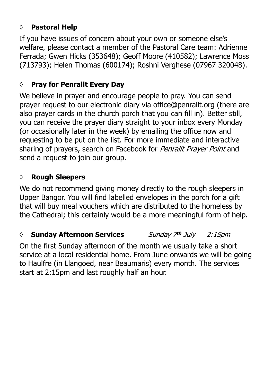# **◊ Pastoral Help**

If you have issues of concern about your own or someone else's welfare, please contact a member of the Pastoral Care team: Adrienne Ferrada; Gwen Hicks (353648); Geoff Moore (410582); Lawrence Moss (713793); Helen Thomas (600174); Roshni Verghese (07967 320048).

#### **◊ Pray for Penrallt Every Day**

We believe in prayer and encourage people to pray. You can send prayer request to our electronic diary via office@penrallt.org (there are also prayer cards in the church porch that you can fill in). Better still, you can receive the prayer diary straight to your inbox every Monday (or occasionally later in the week) by emailing the office now and requesting to be put on the list. For more immediate and interactive sharing of prayers, search on Facebook for *Penrallt Prayer Point* and send a request to join our group.

#### **◊ Rough Sleepers**

We do not recommend giving money directly to the rough sleepers in Upper Bangor. You will find labelled envelopes in the porch for a gift that will buy meal vouchers which are distributed to the homeless by the Cathedral; this certainly would be a more meaningful form of help.

#### *◊* **Sunday Afternoon Services** Sunday 7th July  $2:15$ pm

On the first Sunday afternoon of the month we usually take a short service at a local residential home. From June onwards we will be going to Haulfre (in Llangoed, near Beaumaris) every month. The services start at 2:15pm and last roughly half an hour.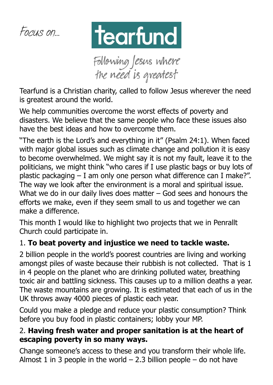



Following Jesus where<br>the need is greatest

Tearfund is a Christian charity, called to follow Jesus wherever the need is greatest around the world.

We help communities overcome the worst effects of poverty and disasters. We believe that the same people who face these issues also have the best ideas and how to overcome them.

"The earth is the Lord's and everything in it" (Psalm 24:1). When faced with major global issues such as climate change and pollution it is easy to become overwhelmed. We might say it is not my fault, leave it to the politicians, we might think "who cares if I use plastic bags or buy lots of plastic packaging – I am only one person what difference can I make?". The way we look after the environment is a moral and spiritual issue. What we do in our daily lives does matter  $-$  God sees and honours the efforts we make, even if they seem small to us and together we can make a difference.

This month I would like to highlight two projects that we in Penrallt Church could participate in.

# 1. **To beat poverty and injustice we need to tackle waste.**

2 billion people in the world's poorest countries are living and working amongst piles of waste because their rubbish is not collected. That is 1 in 4 people on the planet who are drinking polluted water, breathing toxic air and battling sickness. This causes up to a million deaths a year. The waste mountains are growing. It is estimated that each of us in the UK throws away 4000 pieces of plastic each year.

Could you make a pledge and reduce your plastic consumption? Think before you buy food in plastic containers; lobby your MP.

# 2. **Having fresh water and proper sanitation is at the heart of escaping poverty in so many ways.**

Change someone's access to these and you transform their whole life. Almost 1 in 3 people in the world  $-$  2.3 billion people  $-$  do not have